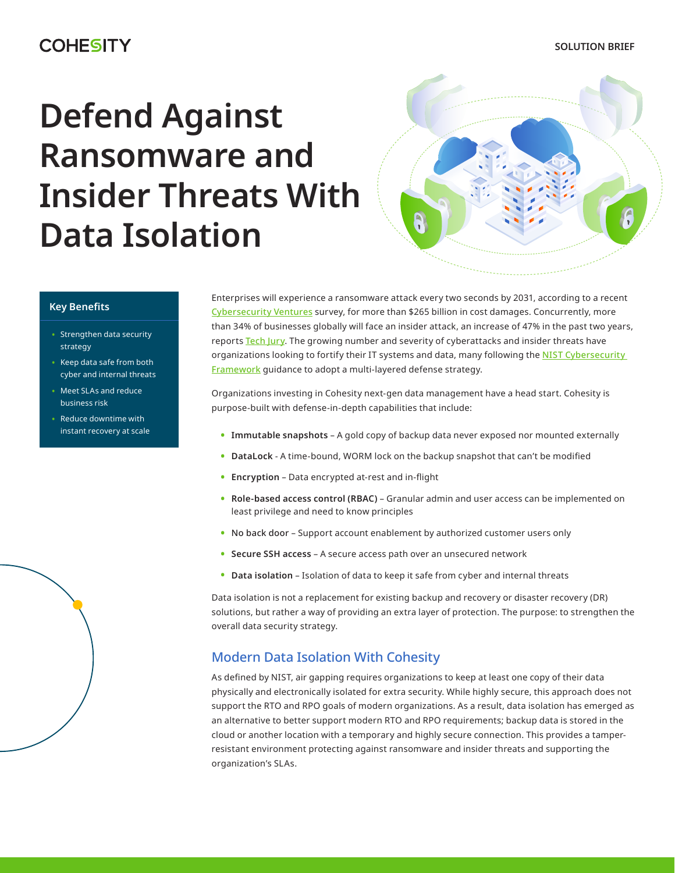#### **SOLUTION BRIEF**

# **COHESITY**

# **Defend Against Ransomware and Insider Threats With Data Isolation**



### **Key Benefits**

- Strengthen data security strategy
- Keep data safe from both cyber and internal threats
- Meet SLAs and reduce business risk
- Reduce downtime with instant recovery at scale

Enterprises will experience a ransomware attack every two seconds by 2031, according to a recent [Cybersecurity Ventures](https://cybersecurityventures.com/top-5-cybersecurity-facts-figures-predictions-and-statistics-for-2021-to-2025/) survey, for more than \$265 billion in cost damages. Concurrently, more than 34% of businesses globally will face an insider attack, an increase of 47% in the past two years, reports [Tech Jury](https://techjury.net/blog/insider-threat-statistics/#gref). The growing number and severity of cyberattacks and insider threats have organizations looking to fortify their IT systems and data, many following the [NIST Cybersecurity](https://www.nist.gov/cyberframework)  [Framework](https://www.nist.gov/cyberframework) guidance to adopt a multi-layered defense strategy.

Organizations investing in Cohesity next-gen data management have a head start. Cohesity is purpose-built with defense-in-depth capabilities that include:

- **• Immutable snapshots** A gold copy of backup data never exposed nor mounted externally
- **• DataLock** A time-bound, WORM lock on the backup snapshot that can't be modified
- **• Encryption** Data encrypted at-rest and in-flight
- **• Role-based access control (RBAC)** Granular admin and user access can be implemented on least privilege and need to know principles
- **•** No back door Support account enablement by authorized customer users only
- **• Secure SSH access** A secure access path over an unsecured network
- **• Data isolation** Isolation of data to keep it safe from cyber and internal threats

Data isolation is not a replacement for existing backup and recovery or disaster recovery (DR) solutions, but rather a way of providing an extra layer of protection. The purpose: to strengthen the overall data security strategy.

## Modern Data Isolation With Cohesity

As defined by NIST, air gapping requires organizations to keep at least one copy of their data physically and electronically isolated for extra security. While highly secure, this approach does not support the RTO and RPO goals of modern organizations. As a result, data isolation has emerged as an alternative to better support modern RTO and RPO requirements; backup data is stored in the cloud or another location with a temporary and highly secure connection. This provides a tamperresistant environment protecting against ransomware and insider threats and supporting the organization's SLAs.